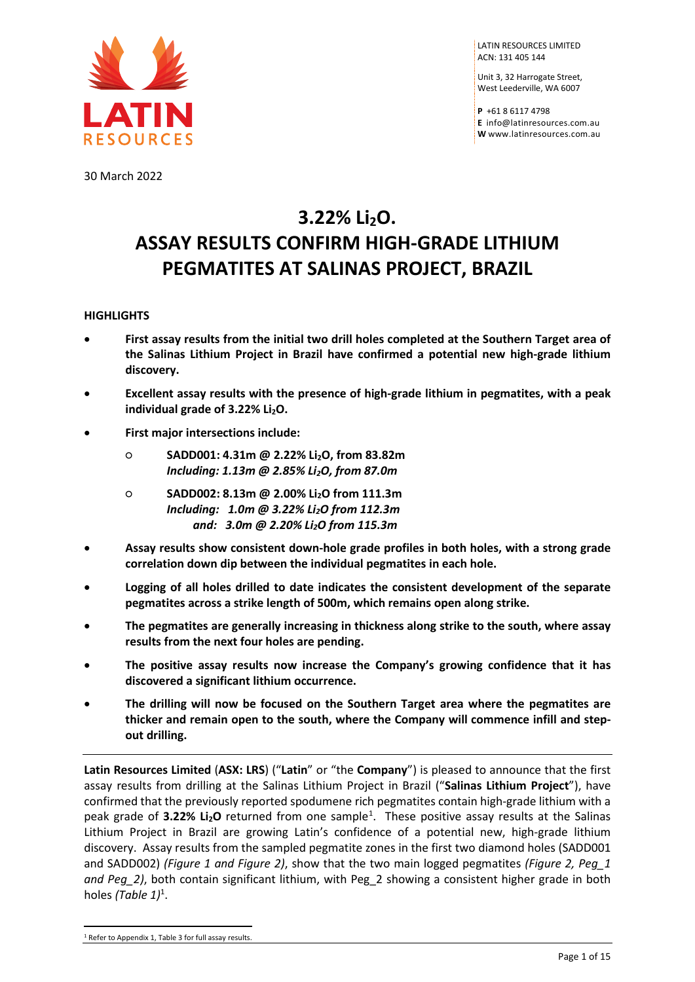

LATIN RESOURCES LIMITED ACN: 131 405 144

Unit 3, 32 Harrogate Street, West Leederville, WA 6007

**P** +61 8 6117 4798 **E** [info@latinresources.com.au](mailto:info@latinresources.com.au) **W** [www.latinresources.com.au](http://www.latinresources.com.au/)

30 March 2022

# **3.22% Li2O. ASSAY RESULTS CONFIRM HIGH-GRADE LITHIUM PEGMATITES AT SALINAS PROJECT, BRAZIL**

## **HIGHLIGHTS**

- **First assay results from the initial two drill holes completed at the Southern Target area of the Salinas Lithium Project in Brazil have confirmed a potential new high-grade lithium discovery.**
- **Excellent assay results with the presence of high-grade lithium in pegmatites, with a peak individual grade of 3.22% Li<sub>2</sub>O.**
- **First major intersections include:**
	- **SADD001: 4.31m @ 2.22% Li2O, from 83.82m** *Including: 1.13m @ 2.85% Li2O, from 87.0m*
	- **SADD002: 8.13m @ 2.00% Li2O from 111.3m** *Including: 1.0m @ 3.22% Li2O from 112.3m and: 3.0m @ 2.20% Li2O from 115.3m*
- **Assay results show consistent down-hole grade profiles in both holes, with a strong grade correlation down dip between the individual pegmatites in each hole.**
- **Logging of all holes drilled to date indicates the consistent development of the separate pegmatites across a strike length of 500m, which remains open along strike.**
- **The pegmatites are generally increasing in thickness along strike to the south, where assay results from the next four holes are pending.**
- **The positive assay results now increase the Company's growing confidence that it has discovered a significant lithium occurrence.**
- **The drilling will now be focused on the Southern Target area where the pegmatites are thicker and remain open to the south, where the Company will commence infill and stepout drilling.**

**Latin Resources Limited** (**ASX: LRS**) ("**Latin**" or "the **Company**") is pleased to announce that the first assay results from drilling at the Salinas Lithium Project in Brazil ("**Salinas Lithium Project**"), have confirmed that the previously reported spodumene rich pegmatites contain high-grade lithium with a peak grade of 3.22% Li<sub>2</sub>O returned from one sample<sup>[1](#page-0-0)</sup>. These positive assay results at the Salinas Lithium Project in Brazil are growing Latin's confidence of a potential new, high-grade lithium discovery. Assay results from the sampled pegmatite zones in the first two diamond holes (SADD001 and SADD002) *(Figure 1 and Figure 2)*, show that the two main logged pegmatites *(Figure 2, Peg\_1 and Peg\_2)*, both contain significant lithium, with Peg\_2 showing a consistent higher grade in both holes (Table 1)<sup>1</sup>. **Latin Resources Limited (ASX: L**<br>assay results from drilling at th<br>confirmed that the previously re<br>peak grade of **3.22% Li<sub>2</sub>O** retur<br>Lithium Project in Brazil are g<br>discovery. Assay results from th<br>and SADD002) (*Figur* 

<span id="page-0-0"></span>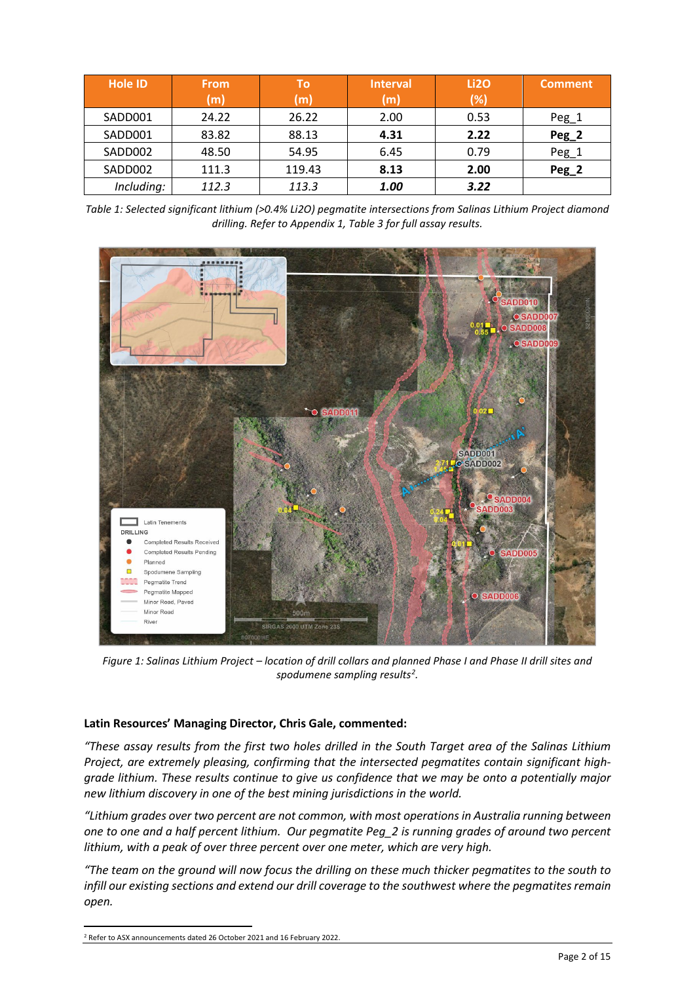| <b>Hole ID</b> | <b>From</b><br>(m) | Тο<br>(m) | <b>Interval</b><br>(m) | Li <sub>20</sub><br>(%) | <b>Comment</b> |
|----------------|--------------------|-----------|------------------------|-------------------------|----------------|
| SADD001        | 24.22              | 26.22     | 2.00                   | 0.53                    | Peg_1          |
| SADD001        | 83.82              | 88.13     | 4.31                   | 2.22                    | Peg_2          |
| SADD002        | 48.50              | 54.95     | 6.45                   | 0.79                    | Peg_1          |
| SADD002        | 111.3              | 119.43    | 8.13                   | 2.00                    | Peg_2          |
| Including:     | 112.3              | 113.3     | 1.00                   | 3.22                    |                |

*Table 1: Selected significant lithium (>0.4% Li2O) pegmatite intersections from Salinas Lithium Project diamond drilling. Refer to Appendix 1, Table 3 for full assay results.*



*Figure 1: Salinas Lithium Project – location of drill collars and planned Phase I and Phase II drill sites and spodumene sampling results[2](#page-1-0) .*

#### **Latin Resources' Managing Director, Chris Gale, commented:**

*"These assay results from the first two holes drilled in the South Target area of the Salinas Lithium Project, are extremely pleasing, confirming that the intersected pegmatites contain significant highgrade lithium. These results continue to give us confidence that we may be onto a potentially major new lithium discovery in one of the best mining jurisdictions in the world.*

*"Lithium grades over two percent are not common, with most operations in Australia running between one to one and a half percent lithium. Our pegmatite Peg\_2 is running grades of around two percent lithium, with a peak of over three percent over one meter, which are very high.* 

*"The team on the ground will now focus the drilling on these much thicker pegmatites to the south to infill our existing sections and extend our drill coverage to the southwest where the pegmatites remain open.* grade lithium. These results continue to give us a<br>new lithium discovery in one of the best mining ju<br>"Lithium grades over two percent are not commor<br>one to one and a half percent lithium. Our pegm<br>lithium, with a peak of

<span id="page-1-0"></span>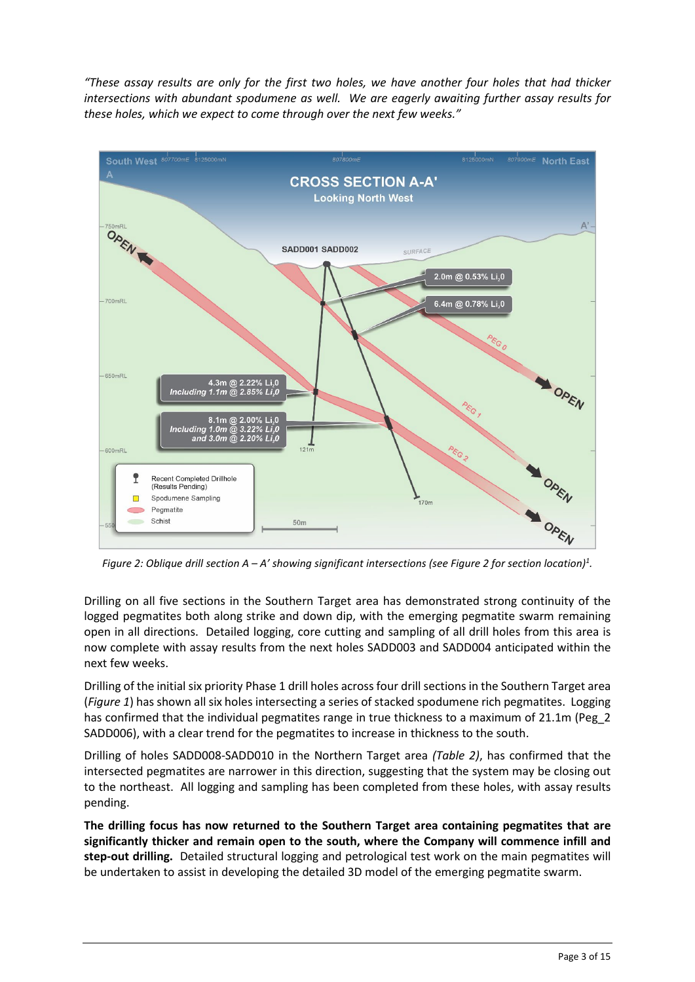*"These assay results are only for the first two holes, we have another four holes that had thicker intersections with abundant spodumene as well. We are eagerly awaiting further assay results for these holes, which we expect to come through over the next few weeks."*



*Figure 2: Oblique drill section A – A' showing significant intersections (see Figure 2 for section location)1 .*

Drilling on all five sections in the Southern Target area has demonstrated strong continuity of the logged pegmatites both along strike and down dip, with the emerging pegmatite swarm remaining open in all directions. Detailed logging, core cutting and sampling of all drill holes from this area is now complete with assay results from the next holes SADD003 and SADD004 anticipated within the next few weeks.

Drilling of the initial six priority Phase 1 drill holes across four drill sections in the Southern Target area (*Figure 1*) has shown all six holes intersecting a series of stacked spodumene rich pegmatites. Logging has confirmed that the individual pegmatites range in true thickness to a maximum of 21.1m (Peg\_2 SADD006), with a clear trend for the pegmatites to increase in thickness to the south.

Drilling of holes SADD008-SADD010 in the Northern Target area *(Table 2)*, has confirmed that the intersected pegmatites are narrower in this direction, suggesting that the system may be closing out to the northeast. All logging and sampling has been completed from these holes, with assay results pending.

**The drilling focus has now returned to the Southern Target area containing pegmatites that are significantly thicker and remain open to the south, where the Company will commence infill and step-out drilling.** Detailed structural logging and petrological test work on the main pegmatites will be undertaken to assist in developing the detailed 3D model of the emerging pegmatite swarm.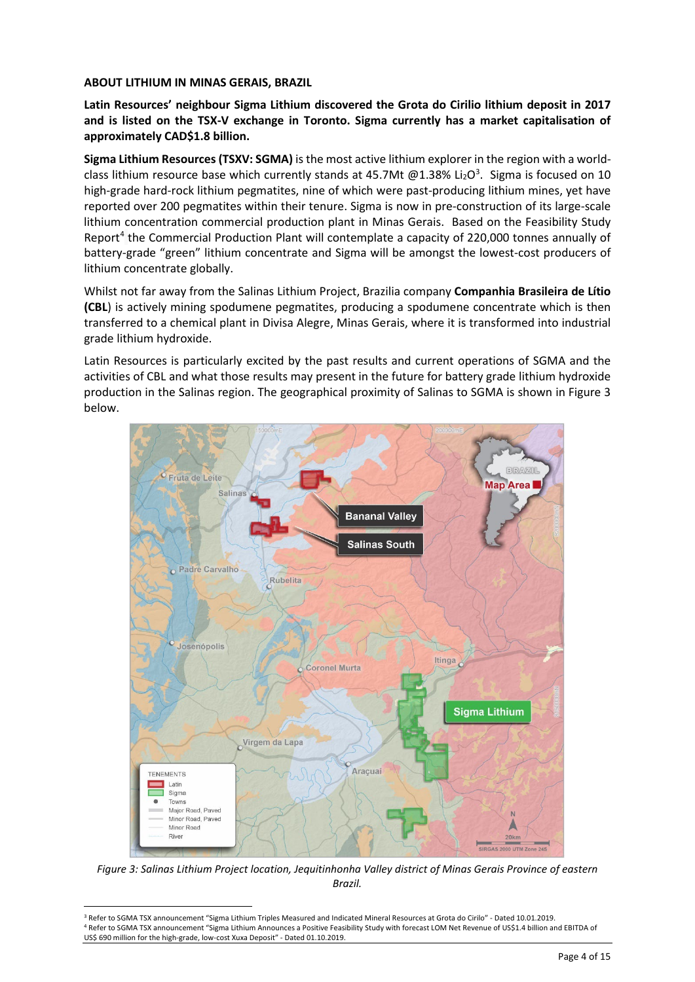#### **ABOUT LITHIUM IN MINAS GERAIS, BRAZIL**

**Latin Resources' neighbour Sigma Lithium discovered the Grota do Cirilio lithium deposit in 2017 and is listed on the TSX-V exchange in Toronto. Sigma currently has a market capitalisation of approximately CAD\$1.8 billion.** 

**Sigma Lithium Resources (TSXV: SGMA)** is the most active lithium explorer in the region with a world-class lithium resource base which currently stands at 45.7Mt @1.[3](#page-3-0)8% Li<sub>2</sub>O<sup>3</sup>. Sigma is focused on 10 high-grade hard-rock lithium pegmatites, nine of which were past-producing lithium mines, yet have reported over 200 pegmatites within their tenure. Sigma is now in pre-construction of its large-scale lithium concentration commercial production plant in Minas Gerais. Based on the Feasibility Study Report[4](#page-3-1) the Commercial Production Plant will contemplate a capacity of 220,000 tonnes annually of battery-grade "green" lithium concentrate and Sigma will be amongst the lowest-cost producers of lithium concentrate globally.

Whilst not far away from the Salinas Lithium Project, Brazilia company **Companhia Brasileira de Lítio (CBL**) is actively mining spodumene pegmatites, producing a spodumene concentrate which is then transferred to a chemical plant in Divisa Alegre, Minas Gerais, where it is transformed into industrial grade lithium hydroxide.

Latin Resources is particularly excited by the past results and current operations of SGMA and the activities of CBL and what those results may present in the future for battery grade lithium hydroxide production in the Salinas region. The geographical proximity of Salinas to SGMA is shown in Figure 3 below.



*Figure 3: Salinas Lithium Project location, Jequitinhonha Valley district of Minas Gerais Province of eastern Brazil.*

<span id="page-3-1"></span><span id="page-3-0"></span><sup>3</sup> Refer to SGMA TSX announcement "Sigma Lithium Triples Measured and Indicated Mineral Resources at Grota do Cirilo" - Dated 10.01.2019. 4 Refer to SGMA TSX announcement "Sigma Lithium Announces a Positive Feasibility Study with forecast LOM Net Revenue of US\$1.4 billion and EBITDA of<br>US\$ 690 million for the high-grade. low-cost Xuxa Deposit" - Dated 01.10.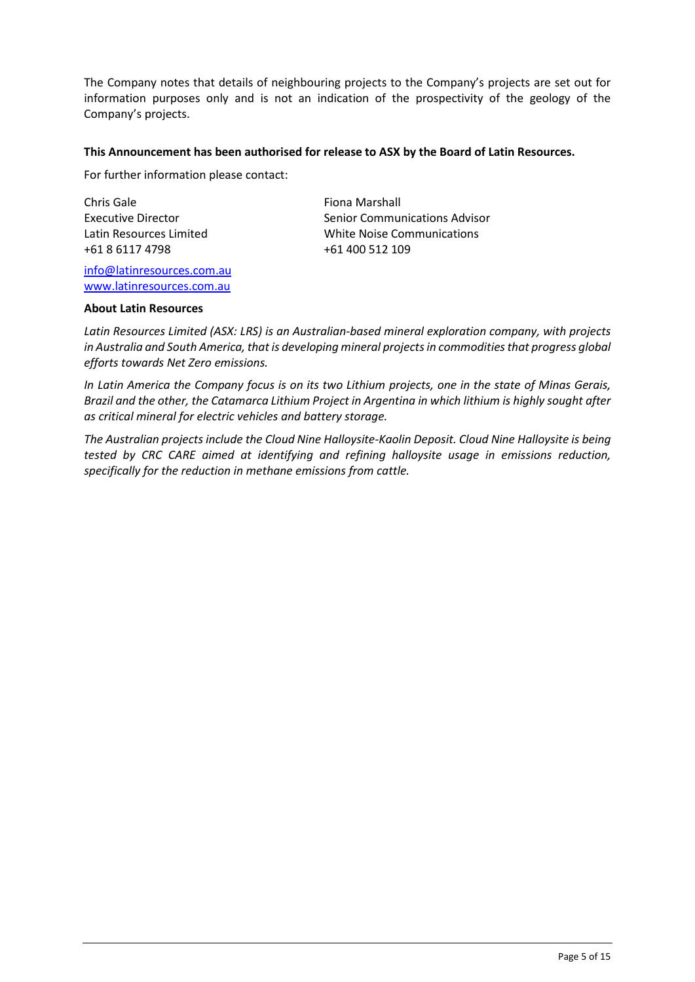The Company notes that details of neighbouring projects to the Company's projects are set out for information purposes only and is not an indication of the prospectivity of the geology of the Company's projects.

#### **This Announcement has been authorised for release to ASX by the Board of Latin Resources.**

For further information please contact:

Chris Gale Executive Director Latin Resources Limited +61 8 6117 4798

[info@latinresources.com.au](mailto:info@latinresources.com.au) [www.latinresources.com.au](http://www.latinresources.com.au/)

Fiona Marshall Senior Communications Advisor White Noise Communications +61 400 512 109

#### **About Latin Resources**

*Latin Resources Limited (ASX: LRS) is an Australian-based mineral exploration company, with projects in Australia and South America, that is developing mineral projects in commodities that progress global efforts towards Net Zero emissions.* 

*In Latin America the Company focus is on its two Lithium projects, one in the state of Minas Gerais, Brazil and the other, the Catamarca Lithium Project in Argentina in which lithium is highly sought after as critical mineral for electric vehicles and battery storage.*

*The Australian projects include the Cloud Nine Halloysite-Kaolin Deposit. Cloud Nine Halloysite is being tested by CRC CARE aimed at identifying and refining halloysite usage in emissions reduction, specifically for the reduction in methane emissions from cattle.*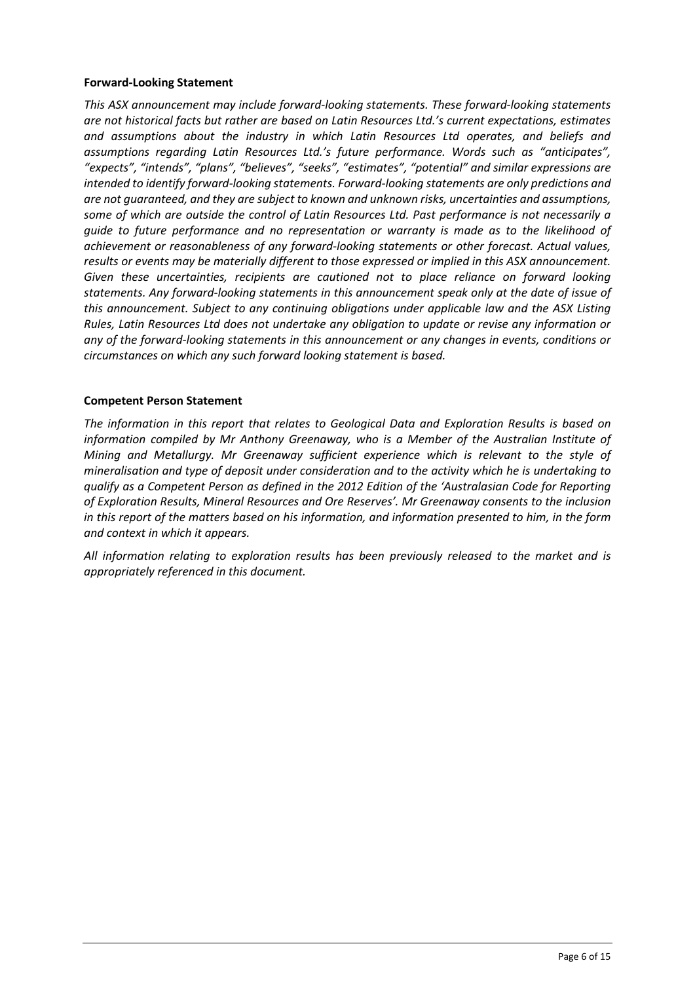#### **Forward-Looking Statement**

*This ASX announcement may include forward-looking statements. These forward-looking statements are not historical facts but rather are based on Latin Resources Ltd.'s current expectations, estimates and assumptions about the industry in which Latin Resources Ltd operates, and beliefs and assumptions regarding Latin Resources Ltd.'s future performance. Words such as "anticipates", "expects", "intends", "plans", "believes", "seeks", "estimates", "potential" and similar expressions are intended to identify forward-looking statements. Forward-looking statements are only predictions and are not guaranteed, and they are subject to known and unknown risks, uncertainties and assumptions, some of which are outside the control of Latin Resources Ltd. Past performance is not necessarily a guide to future performance and no representation or warranty is made as to the likelihood of achievement or reasonableness of any forward-looking statements or other forecast. Actual values, results or events may be materially different to those expressed or implied in this ASX announcement. Given these uncertainties, recipients are cautioned not to place reliance on forward looking statements. Any forward-looking statements in this announcement speak only at the date of issue of this announcement. Subject to any continuing obligations under applicable law and the ASX Listing Rules, Latin Resources Ltd does not undertake any obligation to update or revise any information or any of the forward-looking statements in this announcement or any changes in events, conditions or circumstances on which any such forward looking statement is based.*

## **Competent Person Statement**

*The information in this report that relates to Geological Data and Exploration Results is based on information compiled by Mr Anthony Greenaway, who is a Member of the Australian Institute of Mining and Metallurgy. Mr Greenaway sufficient experience which is relevant to the style of mineralisation and type of deposit under consideration and to the activity which he is undertaking to qualify as a Competent Person as defined in the 2012 Edition of the 'Australasian Code for Reporting of Exploration Results, Mineral Resources and Ore Reserves'. Mr Greenaway consents to the inclusion in this report of the matters based on his information, and information presented to him, in the form and context in which it appears.*

*All information relating to exploration results has been previously released to the market and is appropriately referenced in this document.*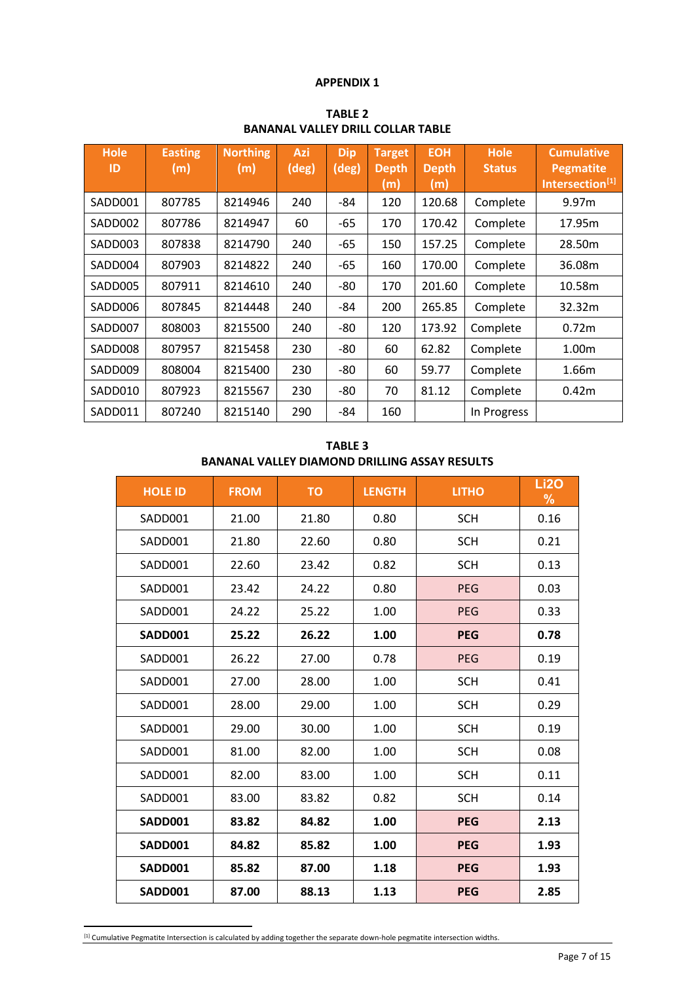#### **APPENDIX 1**

| PANANAL VALLET PINLE COLLAN TAPLE |                       |                        |              |                              |                                      |                                   |                              |                                                                      |
|-----------------------------------|-----------------------|------------------------|--------------|------------------------------|--------------------------------------|-----------------------------------|------------------------------|----------------------------------------------------------------------|
| <b>Hole</b><br>ID                 | <b>Easting</b><br>(m) | <b>Northing</b><br>(m) | Azi<br>(deg) | <b>Dip</b><br>$(\text{deg})$ | <b>Target</b><br><b>Depth</b><br>(m) | <b>EOH</b><br><b>Depth</b><br>(m) | <b>Hole</b><br><b>Status</b> | <b>Cumulative</b><br><b>Pegmatite</b><br>Intersection <sup>[1]</sup> |
| SADD001                           | 807785                | 8214946                | 240          | -84                          | 120                                  | 120.68                            | Complete                     | 9.97m                                                                |
| SADD002                           | 807786                | 8214947                | 60           | -65                          | 170                                  | 170.42                            | Complete                     | 17.95m                                                               |
| SADD003                           | 807838                | 8214790                | 240          | -65                          | 150                                  | 157.25                            | Complete                     | 28.50m                                                               |
| SADD004                           | 807903                | 8214822                | 240          | -65                          | 160                                  | 170.00                            | Complete                     | 36.08m                                                               |
| SADD005                           | 807911                | 8214610                | 240          | -80                          | 170                                  | 201.60                            | Complete                     | 10.58m                                                               |
| SADD006                           | 807845                | 8214448                | 240          | -84                          | 200                                  | 265.85                            | Complete                     | 32.32m                                                               |
| SADD007                           | 808003                | 8215500                | 240          | -80                          | 120                                  | 173.92                            | Complete                     | 0.72 <sub>m</sub>                                                    |
| SADD008                           | 807957                | 8215458                | 230          | -80                          | 60                                   | 62.82                             | Complete                     | 1.00m                                                                |
| SADD009                           | 808004                | 8215400                | 230          | -80                          | 60                                   | 59.77                             | Complete                     | 1.66m                                                                |
| SADD010                           | 807923                | 8215567                | 230          | -80                          | 70                                   | 81.12                             | Complete                     | 0.42m                                                                |
| SADD011                           | 807240                | 8215140                | 290          | -84                          | 160                                  |                                   | In Progress                  |                                                                      |

**TABLE 2 BANANAL VALLEY DRILL COLLAR TABLE**

| <b>TABLE 3</b>                                |
|-----------------------------------------------|
| BANANAL VALLEY DIAMOND DRILLING ASSAY RESULTS |

<span id="page-6-0"></span>

| <b>HOLE ID</b> | <b>FROM</b> | <b>TO</b> | <b>LENGTH</b> | <b>LITHO</b> | <b>Li2O</b><br>$\%$ |
|----------------|-------------|-----------|---------------|--------------|---------------------|
| SADD001        | 21.00       | 21.80     | 0.80          | <b>SCH</b>   | 0.16                |
| SADD001        | 21.80       | 22.60     | 0.80          | <b>SCH</b>   | 0.21                |
| SADD001        | 22.60       | 23.42     | 0.82          | <b>SCH</b>   | 0.13                |
| SADD001        | 23.42       | 24.22     | 0.80          | <b>PEG</b>   | 0.03                |
| SADD001        | 24.22       | 25.22     | 1.00          | <b>PEG</b>   | 0.33                |
| <b>SADD001</b> | 25.22       | 26.22     | 1.00          | <b>PEG</b>   | 0.78                |
| SADD001        | 26.22       | 27.00     | 0.78          | PEG          | 0.19                |
| SADD001        | 27.00       | 28.00     | 1.00          | <b>SCH</b>   | 0.41                |
| SADD001        | 28.00       | 29.00     | 1.00          | <b>SCH</b>   | 0.29                |
| SADD001        | 29.00       | 30.00     | 1.00          | <b>SCH</b>   | 0.19                |
| SADD001        | 81.00       | 82.00     | 1.00          | <b>SCH</b>   | 0.08                |
| SADD001        | 82.00       | 83.00     | 1.00          | <b>SCH</b>   | 0.11                |
| SADD001        | 83.00       | 83.82     | 0.82          | <b>SCH</b>   | 0.14                |
| <b>SADD001</b> | 83.82       | 84.82     | 1.00          | <b>PEG</b>   | 2.13                |
| SADD001        | 84.82       | 85.82     | 1.00          | <b>PEG</b>   | 1.93                |
| SADD001        | 85.82       | 87.00     | 1.18          | <b>PEG</b>   | 1.93                |
| <b>SADD001</b> | 87.00       | 88.13     | 1.13          | <b>PEG</b>   | 2.85                |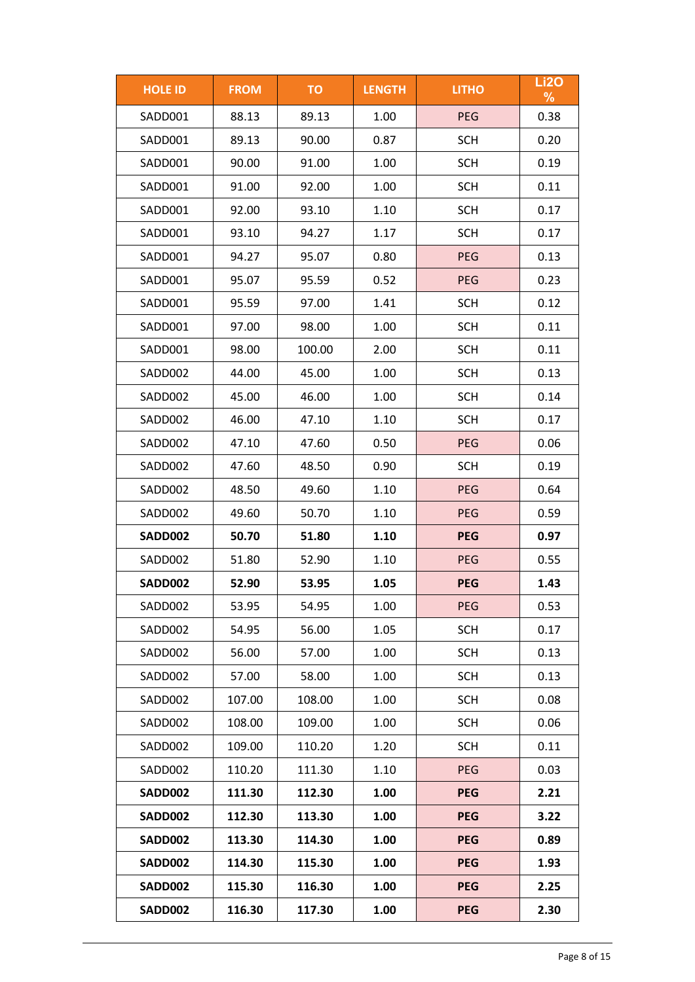| <b>HOLE ID</b> | <b>FROM</b> | <b>TO</b> | <b>LENGTH</b> | <b>LITHO</b> | <b>Li2O</b><br>$\frac{9}{6}$ |
|----------------|-------------|-----------|---------------|--------------|------------------------------|
| SADD001        | 88.13       | 89.13     | 1.00          | <b>PEG</b>   | 0.38                         |
| SADD001        | 89.13       | 90.00     | 0.87          | <b>SCH</b>   | 0.20                         |
| SADD001        | 90.00       | 91.00     | 1.00          | <b>SCH</b>   | 0.19                         |
| SADD001        | 91.00       | 92.00     | 1.00          | <b>SCH</b>   | 0.11                         |
| SADD001        | 92.00       | 93.10     | 1.10          | <b>SCH</b>   | 0.17                         |
| SADD001        | 93.10       | 94.27     | 1.17          | <b>SCH</b>   | 0.17                         |
| SADD001        | 94.27       | 95.07     | 0.80          | <b>PEG</b>   | 0.13                         |
| SADD001        | 95.07       | 95.59     | 0.52          | PEG          | 0.23                         |
| SADD001        | 95.59       | 97.00     | 1.41          | <b>SCH</b>   | 0.12                         |
| SADD001        | 97.00       | 98.00     | 1.00          | <b>SCH</b>   | 0.11                         |
| SADD001        | 98.00       | 100.00    | 2.00          | <b>SCH</b>   | 0.11                         |
| SADD002        | 44.00       | 45.00     | 1.00          | <b>SCH</b>   | 0.13                         |
| SADD002        | 45.00       | 46.00     | 1.00          | <b>SCH</b>   | 0.14                         |
| SADD002        | 46.00       | 47.10     | 1.10          | <b>SCH</b>   | 0.17                         |
| SADD002        | 47.10       | 47.60     | 0.50          | PEG          | 0.06                         |
| SADD002        | 47.60       | 48.50     | 0.90          | <b>SCH</b>   | 0.19                         |
| SADD002        | 48.50       | 49.60     | 1.10          | PEG          | 0.64                         |
| SADD002        | 49.60       | 50.70     | 1.10          | <b>PEG</b>   | 0.59                         |
| <b>SADD002</b> | 50.70       | 51.80     | 1.10          | <b>PEG</b>   | 0.97                         |
| SADD002        | 51.80       | 52.90     | 1.10          | PEG          | 0.55                         |
| <b>SADD002</b> | 52.90       | 53.95     | 1.05          | <b>PEG</b>   | 1.43                         |
| SADD002        | 53.95       | 54.95     | 1.00          | <b>PEG</b>   | 0.53                         |
| SADD002        | 54.95       | 56.00     | 1.05          | <b>SCH</b>   | 0.17                         |
| SADD002        | 56.00       | 57.00     | 1.00          | <b>SCH</b>   | 0.13                         |
| SADD002        | 57.00       | 58.00     | 1.00          | <b>SCH</b>   | 0.13                         |
| SADD002        | 107.00      | 108.00    | 1.00          | <b>SCH</b>   | 0.08                         |
| SADD002        | 108.00      | 109.00    | 1.00          | <b>SCH</b>   | 0.06                         |
| SADD002        | 109.00      | 110.20    | 1.20          | <b>SCH</b>   | 0.11                         |
| SADD002        | 110.20      | 111.30    | 1.10          | <b>PEG</b>   | 0.03                         |
| SADD002        | 111.30      | 112.30    | 1.00          | <b>PEG</b>   | 2.21                         |
| SADD002        | 112.30      | 113.30    | 1.00          | <b>PEG</b>   | 3.22                         |
| SADD002        | 113.30      | 114.30    | 1.00          | <b>PEG</b>   | 0.89                         |
| SADD002        | 114.30      | 115.30    | 1.00          | <b>PEG</b>   | 1.93                         |
| SADD002        | 115.30      | 116.30    | 1.00          | <b>PEG</b>   | 2.25                         |
| SADD002        | 116.30      | 117.30    | 1.00          | <b>PEG</b>   | 2.30                         |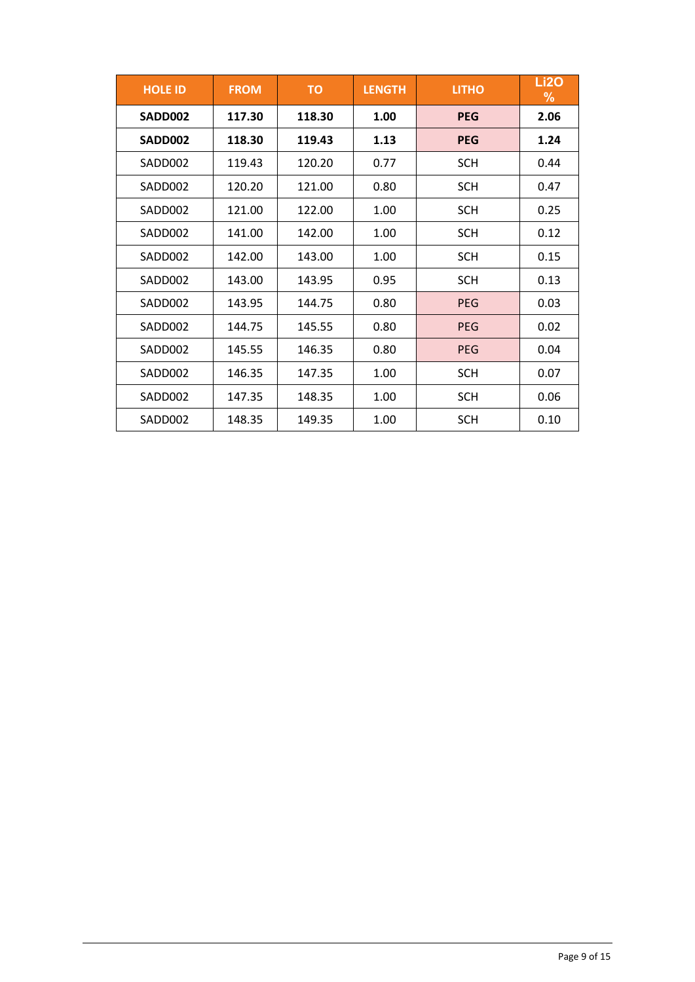| <b>HOLE ID</b> | <b>FROM</b> | <b>TO</b> | <b>LENGTH</b> | <b>LITHO</b> | <b>Li2O</b><br>$\%$ |
|----------------|-------------|-----------|---------------|--------------|---------------------|
| SADD002        | 117.30      | 118.30    | 1.00          | <b>PEG</b>   | 2.06                |
| SADD002        | 118.30      | 119.43    | 1.13          | <b>PEG</b>   | 1.24                |
| SADD002        | 119.43      | 120.20    | 0.77          | <b>SCH</b>   | 0.44                |
| SADD002        | 120.20      | 121.00    | 0.80          | <b>SCH</b>   | 0.47                |
| SADD002        | 121.00      | 122.00    | 1.00          | <b>SCH</b>   | 0.25                |
| SADD002        | 141.00      | 142.00    | 1.00          | <b>SCH</b>   | 0.12                |
| SADD002        | 142.00      | 143.00    | 1.00          | <b>SCH</b>   | 0.15                |
| SADD002        | 143.00      | 143.95    | 0.95          | <b>SCH</b>   | 0.13                |
| SADD002        | 143.95      | 144.75    | 0.80          | <b>PEG</b>   | 0.03                |
| SADD002        | 144.75      | 145.55    | 0.80          | <b>PEG</b>   | 0.02                |
| SADD002        | 145.55      | 146.35    | 0.80          | <b>PEG</b>   | 0.04                |
| SADD002        | 146.35      | 147.35    | 1.00          | SCH          | 0.07                |
| SADD002        | 147.35      | 148.35    | 1.00          | <b>SCH</b>   | 0.06                |
| SADD002        | 148.35      | 149.35    | 1.00          | <b>SCH</b>   | 0.10                |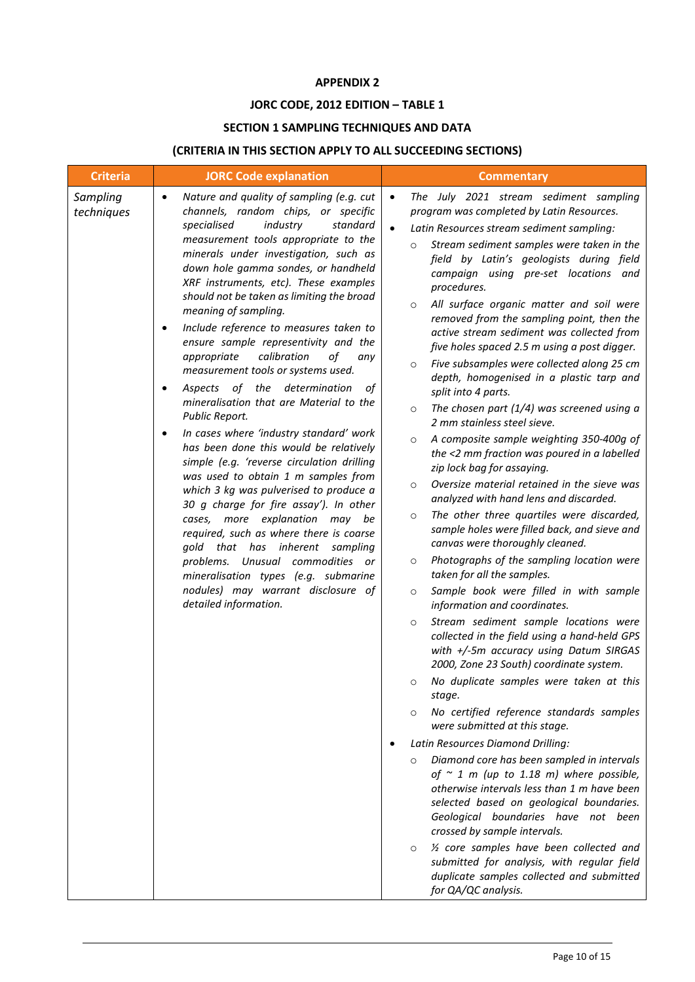#### **APPENDIX 2**

# **JORC CODE, 2012 EDITION – TABLE 1**

# **SECTION 1 SAMPLING TECHNIQUES AND DATA**

# **(CRITERIA IN THIS SECTION APPLY TO ALL SUCCEEDING SECTIONS)**

| <b>Criteria</b>        | <b>JORC Code explanation</b>                                                                                                                                                                                                                                                                                                                                                                                                                                                                                                                                                                                                                                                                                                                                                                                                                                                                                                                                                                                                                                                                                                                                                                               | <b>Commentary</b>                                                                                                                                                                                                                                                                                                                                                                                                                                                                                                                                                                                                                                                                                                                                                                                                                                                                                                                                                                                                                                                                                                                                                                                                                                                                                                                                                                                                                                                                                                                                                                                                                                                                                                                                                                                                                                                                                                                                                                                                                                                                                                                                    |
|------------------------|------------------------------------------------------------------------------------------------------------------------------------------------------------------------------------------------------------------------------------------------------------------------------------------------------------------------------------------------------------------------------------------------------------------------------------------------------------------------------------------------------------------------------------------------------------------------------------------------------------------------------------------------------------------------------------------------------------------------------------------------------------------------------------------------------------------------------------------------------------------------------------------------------------------------------------------------------------------------------------------------------------------------------------------------------------------------------------------------------------------------------------------------------------------------------------------------------------|------------------------------------------------------------------------------------------------------------------------------------------------------------------------------------------------------------------------------------------------------------------------------------------------------------------------------------------------------------------------------------------------------------------------------------------------------------------------------------------------------------------------------------------------------------------------------------------------------------------------------------------------------------------------------------------------------------------------------------------------------------------------------------------------------------------------------------------------------------------------------------------------------------------------------------------------------------------------------------------------------------------------------------------------------------------------------------------------------------------------------------------------------------------------------------------------------------------------------------------------------------------------------------------------------------------------------------------------------------------------------------------------------------------------------------------------------------------------------------------------------------------------------------------------------------------------------------------------------------------------------------------------------------------------------------------------------------------------------------------------------------------------------------------------------------------------------------------------------------------------------------------------------------------------------------------------------------------------------------------------------------------------------------------------------------------------------------------------------------------------------------------------------|
| Sampling<br>techniques | Nature and quality of sampling (e.g. cut<br>$\bullet$<br>channels, random chips, or specific<br>industry<br>standard<br>specialised<br>measurement tools appropriate to the<br>minerals under investigation, such as<br>down hole gamma sondes, or handheld<br>XRF instruments, etc). These examples<br>should not be taken as limiting the broad<br>meaning of sampling.<br>Include reference to measures taken to<br>$\bullet$<br>ensure sample representivity and the<br>calibration<br>appropriate<br>of<br>any<br>measurement tools or systems used.<br>Aspects of the determination<br>оf<br>٠<br>mineralisation that are Material to the<br>Public Report.<br>In cases where 'industry standard' work<br>$\bullet$<br>has been done this would be relatively<br>simple (e.g. 'reverse circulation drilling<br>was used to obtain 1 m samples from<br>which 3 kg was pulverised to produce a<br>30 g charge for fire assay'). In other<br>cases, more explanation may be<br>required, such as where there is coarse<br>gold that has inherent<br>sampling<br>problems. Unusual commodities or<br>mineralisation types (e.g. submarine<br>nodules) may warrant disclosure of<br>detailed information. | The July 2021 stream sediment sampling<br>$\bullet$<br>program was completed by Latin Resources.<br>$\bullet$<br>Latin Resources stream sediment sampling:<br>Stream sediment samples were taken in the<br>$\circ$<br>field by Latin's geologists during field<br>campaign using pre-set locations and<br>procedures.<br>All surface organic matter and soil were<br>$\circ$<br>removed from the sampling point, then the<br>active stream sediment was collected from<br>five holes spaced 2.5 m using a post digger.<br>Five subsamples were collected along 25 cm<br>$\circ$<br>depth, homogenised in a plastic tarp and<br>split into 4 parts.<br>The chosen part $(1/4)$ was screened using a<br>$\circ$<br>2 mm stainless steel sieve.<br>A composite sample weighting 350-400g of<br>$\circ$<br>the <2 mm fraction was poured in a labelled<br>zip lock bag for assaying.<br>Oversize material retained in the sieve was<br>$\circ$<br>analyzed with hand lens and discarded.<br>The other three quartiles were discarded,<br>$\circ$<br>sample holes were filled back, and sieve and<br>canvas were thoroughly cleaned.<br>Photographs of the sampling location were<br>$\circ$<br>taken for all the samples.<br>Sample book were filled in with sample<br>$\circ$<br>information and coordinates.<br>Stream sediment sample locations were<br>$\circ$<br>collected in the field using a hand-held GPS<br>with +/-5m accuracy using Datum SIRGAS<br>2000, Zone 23 South) coordinate system.<br>No duplicate samples were taken at this<br>$\circ$<br>stage.<br>No certified reference standards samples<br>$\circ$<br>were submitted at this stage.<br>Latin Resources Diamond Drilling:<br>Diamond core has been sampled in intervals<br>$\circ$<br>of $\sim$ 1 m (up to 1.18 m) where possible,<br>otherwise intervals less than 1 m have been<br>selected based on geological boundaries.<br>Geological boundaries have not been<br>crossed by sample intervals.<br>1/2 core samples have been collected and<br>$\circ$<br>submitted for analysis, with regular field<br>duplicate samples collected and submitted<br>for QA/QC analysis. |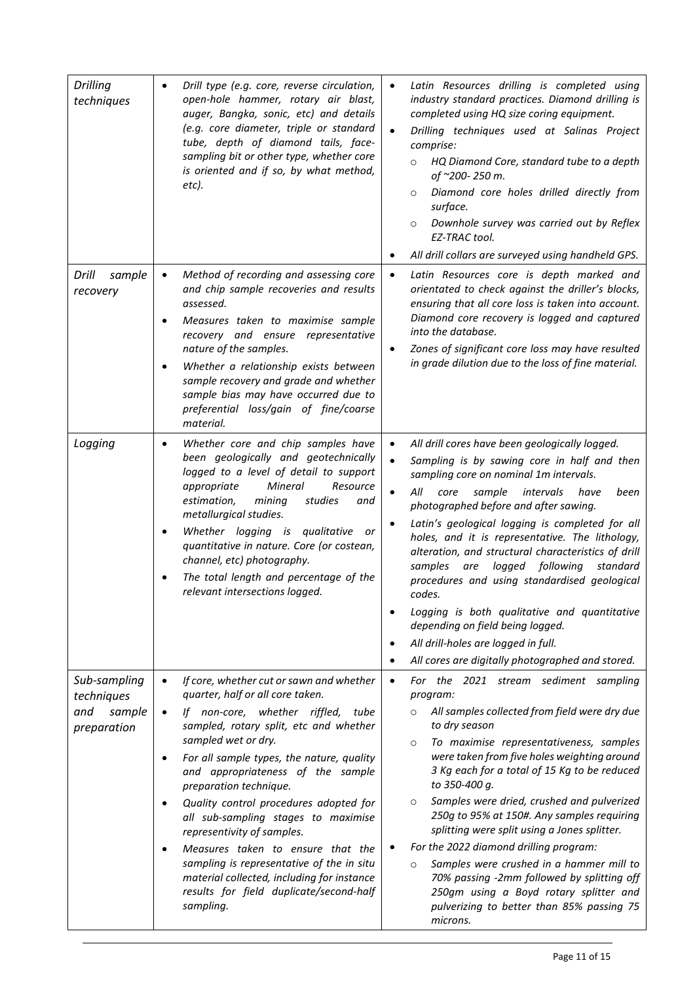| <b>Drilling</b><br>techniques              | Drill type (e.g. core, reverse circulation,<br>$\bullet$<br>open-hole hammer, rotary air blast,<br>auger, Bangka, sonic, etc) and details<br>(e.g. core diameter, triple or standard<br>tube, depth of diamond tails, face-<br>sampling bit or other type, whether core<br>is oriented and if so, by what method,<br>etc).                                                                                                                                                                                                                                                                                | Latin Resources drilling is completed using<br>$\bullet$<br>industry standard practices. Diamond drilling is<br>completed using HQ size coring equipment.<br>Drilling techniques used at Salinas Project<br>$\bullet$<br>comprise:<br>HQ Diamond Core, standard tube to a depth<br>$\circ$<br>of ~200-250 m.<br>Diamond core holes drilled directly from<br>$\circ$<br>surface.<br>Downhole survey was carried out by Reflex<br>$\circ$<br>EZ-TRAC tool.<br>All drill collars are surveyed using handheld GPS.<br>$\bullet$                                                                                                                                                                                                                                                               |
|--------------------------------------------|-----------------------------------------------------------------------------------------------------------------------------------------------------------------------------------------------------------------------------------------------------------------------------------------------------------------------------------------------------------------------------------------------------------------------------------------------------------------------------------------------------------------------------------------------------------------------------------------------------------|-------------------------------------------------------------------------------------------------------------------------------------------------------------------------------------------------------------------------------------------------------------------------------------------------------------------------------------------------------------------------------------------------------------------------------------------------------------------------------------------------------------------------------------------------------------------------------------------------------------------------------------------------------------------------------------------------------------------------------------------------------------------------------------------|
|                                            |                                                                                                                                                                                                                                                                                                                                                                                                                                                                                                                                                                                                           |                                                                                                                                                                                                                                                                                                                                                                                                                                                                                                                                                                                                                                                                                                                                                                                           |
| Drill<br>sample<br>recovery                | Method of recording and assessing core<br>$\bullet$<br>and chip sample recoveries and results<br>assessed.<br>Measures taken to maximise sample<br>$\bullet$<br>recovery and ensure representative<br>nature of the samples.<br>Whether a relationship exists between<br>٠<br>sample recovery and grade and whether<br>sample bias may have occurred due to<br>preferential loss/gain of fine/coarse<br>material.                                                                                                                                                                                         | Latin Resources core is depth marked and<br>$\bullet$<br>orientated to check against the driller's blocks,<br>ensuring that all core loss is taken into account.<br>Diamond core recovery is logged and captured<br>into the database.<br>Zones of significant core loss may have resulted<br>$\bullet$<br>in grade dilution due to the loss of fine material.                                                                                                                                                                                                                                                                                                                                                                                                                            |
| Logging                                    | Whether core and chip samples have<br>$\bullet$<br>been geologically and geotechnically<br>logged to a level of detail to support<br>appropriate<br>Mineral<br>Resource<br>estimation,<br>mining<br>studies<br>and<br>metallurgical studies.<br>Whether logging is qualitative or<br>$\bullet$<br>quantitative in nature. Core (or costean,<br>channel, etc) photography.<br>The total length and percentage of the<br>relevant intersections logged.                                                                                                                                                     | All drill cores have been geologically logged.<br>$\bullet$<br>$\bullet$<br>Sampling is by sawing core in half and then<br>sampling core on nominal 1m intervals.<br>All<br>sample<br>intervals<br>have<br>been<br>$\bullet$<br>core<br>photographed before and after sawing.<br>Latin's geological logging is completed for all<br>$\bullet$<br>holes, and it is representative. The lithology,<br>alteration, and structural characteristics of drill<br>logged following<br>samples<br>are<br>standard<br>procedures and using standardised geological<br>codes.<br>Logging is both qualitative and quantitative<br>$\bullet$<br>depending on field being logged.<br>All drill-holes are logged in full.<br>$\bullet$<br>All cores are digitally photographed and stored.<br>$\bullet$ |
| Sub-sampling                               | If core, whether cut or sawn and whether<br>$\bullet$                                                                                                                                                                                                                                                                                                                                                                                                                                                                                                                                                     | For the 2021 stream sediment sampling<br>$\bullet$                                                                                                                                                                                                                                                                                                                                                                                                                                                                                                                                                                                                                                                                                                                                        |
| techniques<br>and<br>sample<br>preparation | quarter, half or all core taken.<br>If non-core, whether riffled,<br>$\bullet$<br>tube<br>sampled, rotary split, etc and whether<br>sampled wet or dry.<br>For all sample types, the nature, quality<br>٠<br>and appropriateness of the sample<br>preparation technique.<br>Quality control procedures adopted for<br>$\bullet$<br>all sub-sampling stages to maximise<br>representivity of samples.<br>Measures taken to ensure that the<br>$\bullet$<br>sampling is representative of the in situ<br>material collected, including for instance<br>results for field duplicate/second-half<br>sampling. | program:<br>All samples collected from field were dry due<br>$\circ$<br>to dry season<br>To maximise representativeness, samples<br>$\circ$<br>were taken from five holes weighting around<br>3 Kg each for a total of 15 Kg to be reduced<br>to 350-400 g.<br>Samples were dried, crushed and pulverized<br>$\circ$<br>250g to 95% at 150#. Any samples requiring<br>splitting were split using a Jones splitter.<br>For the 2022 diamond drilling program:<br>$\bullet$<br>Samples were crushed in a hammer mill to<br>$\circ$<br>70% passing -2mm followed by splitting off<br>250gm using a Boyd rotary splitter and<br>pulverizing to better than 85% passing 75<br>microns.                                                                                                         |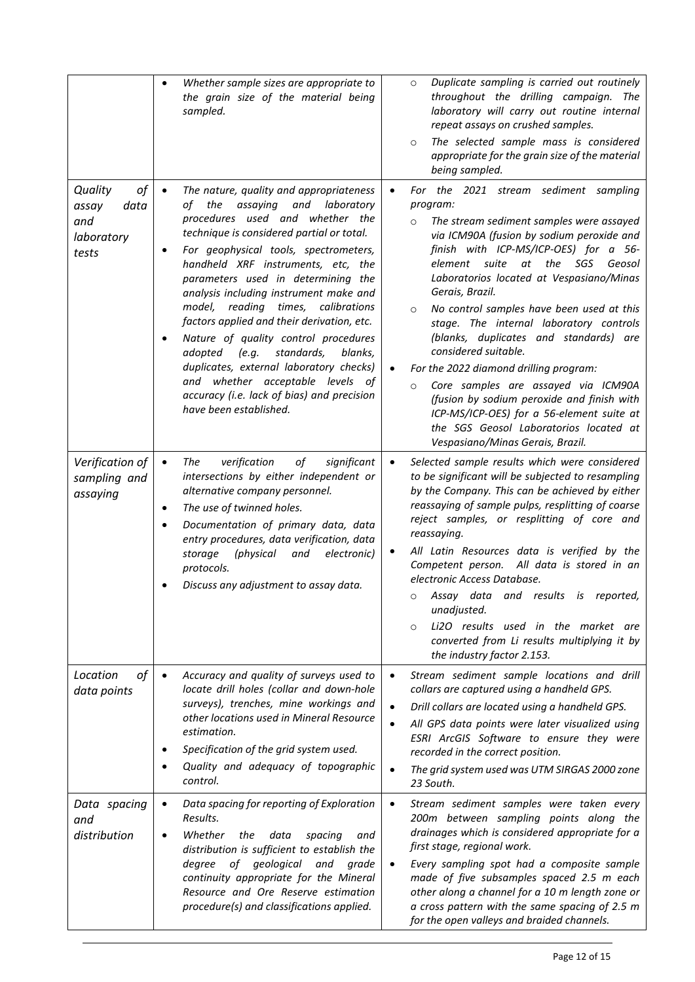|                                                              | Whether sample sizes are appropriate to<br>$\bullet$<br>the grain size of the material being<br>sampled.                                                                                                                                                                                                                                                                                                                                                                                                                                                                                                                                                                                              | Duplicate sampling is carried out routinely<br>$\circ$<br>throughout the drilling campaign. The<br>laboratory will carry out routine internal<br>repeat assays on crushed samples.<br>The selected sample mass is considered<br>$\circ$<br>appropriate for the grain size of the material<br>being sampled.                                                                                                                                                                                                                                                                                                                                                                                                                                                                   |
|--------------------------------------------------------------|-------------------------------------------------------------------------------------------------------------------------------------------------------------------------------------------------------------------------------------------------------------------------------------------------------------------------------------------------------------------------------------------------------------------------------------------------------------------------------------------------------------------------------------------------------------------------------------------------------------------------------------------------------------------------------------------------------|-------------------------------------------------------------------------------------------------------------------------------------------------------------------------------------------------------------------------------------------------------------------------------------------------------------------------------------------------------------------------------------------------------------------------------------------------------------------------------------------------------------------------------------------------------------------------------------------------------------------------------------------------------------------------------------------------------------------------------------------------------------------------------|
| of<br>Quality<br>data<br>assay<br>and<br>laboratory<br>tests | The nature, quality and appropriateness<br>$\bullet$<br>of the<br>assaying<br>and laboratory<br>procedures used and whether the<br>technique is considered partial or total.<br>For geophysical tools, spectrometers,<br>$\bullet$<br>handheld XRF instruments, etc, the<br>parameters used in determining the<br>analysis including instrument make and<br>model, reading times, calibrations<br>factors applied and their derivation, etc.<br>Nature of quality control procedures<br>$\bullet$<br>standards,<br>adopted<br>(e.g.<br>blanks,<br>duplicates, external laboratory checks)<br>and whether acceptable levels of<br>accuracy (i.e. lack of bias) and precision<br>have been established. | For the 2021 stream sediment sampling<br>$\bullet$<br>program:<br>The stream sediment samples were assayed<br>$\circ$<br>via ICM90A (fusion by sodium peroxide and<br>finish with ICP-MS/ICP-OES) for a 56-<br>element suite at<br>the<br>SGS<br>Geosol<br>Laboratorios located at Vespasiano/Minas<br>Gerais, Brazil.<br>No control samples have been used at this<br>$\circ$<br>stage. The internal laboratory controls<br>(blanks, duplicates and standards) are<br>considered suitable.<br>For the 2022 diamond drilling program:<br>$\bullet$<br>Core samples are assayed via ICM90A<br>$\circ$<br>(fusion by sodium peroxide and finish with<br>ICP-MS/ICP-OES) for a 56-element suite at<br>the SGS Geosol Laboratorios located at<br>Vespasiano/Minas Gerais, Brazil. |
| Verification of<br>sampling and<br>assaying                  | verification<br>of<br>significant<br>The<br>$\bullet$<br>intersections by either independent or<br>alternative company personnel.<br>The use of twinned holes.<br>$\bullet$<br>Documentation of primary data, data<br>entry procedures, data verification, data<br>(physical<br>electronic)<br>storage<br>and<br>protocols.<br>Discuss any adjustment to assay data.                                                                                                                                                                                                                                                                                                                                  | Selected sample results which were considered<br>$\bullet$<br>to be significant will be subjected to resampling<br>by the Company. This can be achieved by either<br>reassaying of sample pulps, resplitting of coarse<br>reject samples, or resplitting of core and<br>reassaying.<br>All Latin Resources data is verified by the<br>$\bullet$<br>Competent person. All data is stored in an<br>electronic Access Database.<br>Assay data and results is reported,<br>O<br>unadjusted.<br>Li2O results used in the market are<br>$\circ$<br>converted from Li results multiplying it by<br>the industry factor 2.153.                                                                                                                                                        |
| of<br>Location<br>data points                                | Accuracy and quality of surveys used to<br>$\bullet$<br>locate drill holes (collar and down-hole<br>surveys), trenches, mine workings and<br>other locations used in Mineral Resource<br>estimation.<br>Specification of the grid system used.<br>٠<br>Quality and adequacy of topographic<br>$\bullet$<br>control.                                                                                                                                                                                                                                                                                                                                                                                   | Stream sediment sample locations and drill<br>$\bullet$<br>collars are captured using a handheld GPS.<br>Drill collars are located using a handheld GPS.<br>$\bullet$<br>All GPS data points were later visualized using<br>$\bullet$<br>ESRI ArcGIS Software to ensure they were<br>recorded in the correct position.<br>The grid system used was UTM SIRGAS 2000 zone<br>$\bullet$<br>23 South.                                                                                                                                                                                                                                                                                                                                                                             |
| Data spacing<br>and<br>distribution                          | Data spacing for reporting of Exploration<br>$\bullet$<br>Results.<br>Whether<br>the<br>data<br>spacing<br>and<br>$\bullet$<br>distribution is sufficient to establish the<br>of<br>geological<br>degree<br>and<br>grade<br>continuity appropriate for the Mineral<br>Resource and Ore Reserve estimation<br>procedure(s) and classifications applied.                                                                                                                                                                                                                                                                                                                                                | Stream sediment samples were taken every<br>$\bullet$<br>200m between sampling points along the<br>drainages which is considered appropriate for a<br>first stage, regional work.<br>Every sampling spot had a composite sample<br>$\bullet$<br>made of five subsamples spaced 2.5 m each<br>other along a channel for a 10 m length zone or<br>a cross pattern with the same spacing of 2.5 m<br>for the open valleys and braided channels.                                                                                                                                                                                                                                                                                                                                  |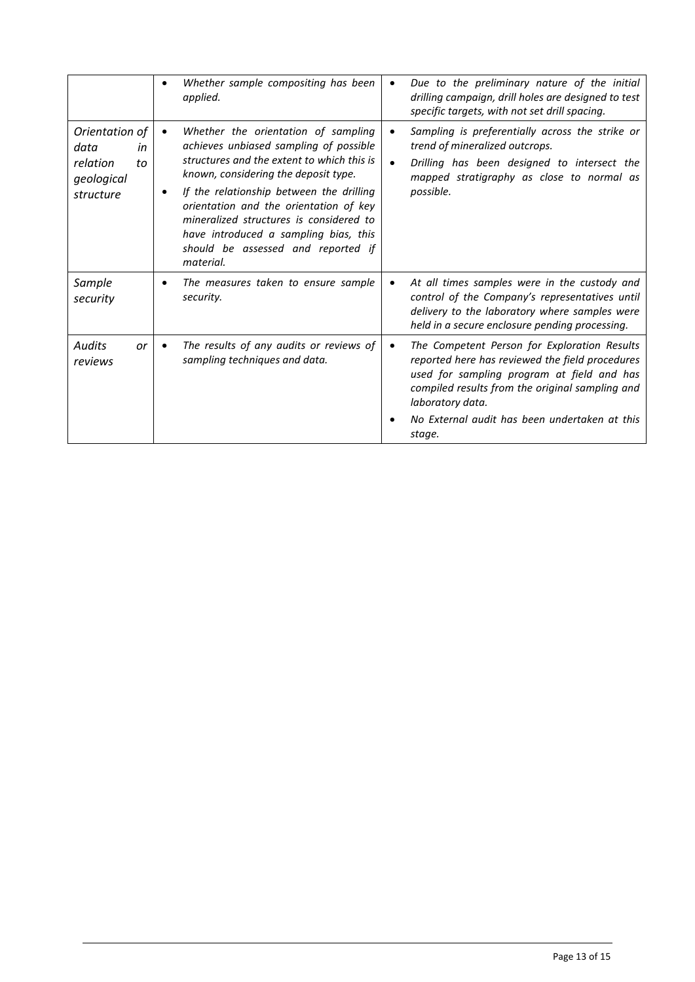|                                                                           | Whether sample compositing has been<br>٠<br>applied.                                                                                                                                                                                                                                                                                                                                                  | $\bullet$              | Due to the preliminary nature of the initial<br>drilling campaign, drill holes are designed to test<br>specific targets, with not set drill spacing.                                                                                                                            |
|---------------------------------------------------------------------------|-------------------------------------------------------------------------------------------------------------------------------------------------------------------------------------------------------------------------------------------------------------------------------------------------------------------------------------------------------------------------------------------------------|------------------------|---------------------------------------------------------------------------------------------------------------------------------------------------------------------------------------------------------------------------------------------------------------------------------|
| Orientation of<br>data<br>in<br>relation<br>to<br>geological<br>structure | Whether the orientation of sampling<br>achieves unbiased sampling of possible<br>structures and the extent to which this is<br>known, considering the deposit type.<br>If the relationship between the drilling<br>٠<br>orientation and the orientation of key<br>mineralized structures is considered to<br>have introduced a sampling bias, this<br>should be assessed and reported if<br>material. | $\bullet$<br>$\bullet$ | Sampling is preferentially across the strike or<br>trend of mineralized outcrops.<br>Drilling has been designed to intersect the<br>mapped stratigraphy as close to normal as<br>possible.                                                                                      |
| Sample<br>security                                                        | The measures taken to ensure sample<br>$\bullet$<br>security.                                                                                                                                                                                                                                                                                                                                         | $\bullet$              | At all times samples were in the custody and<br>control of the Company's representatives until<br>delivery to the laboratory where samples were<br>held in a secure enclosure pending processing.                                                                               |
| <b>Audits</b><br>or<br>reviews                                            | The results of any audits or reviews of<br>sampling techniques and data.                                                                                                                                                                                                                                                                                                                              | $\bullet$              | The Competent Person for Exploration Results<br>reported here has reviewed the field procedures<br>used for sampling program at field and has<br>compiled results from the original sampling and<br>laboratory data.<br>No External audit has been undertaken at this<br>stage. |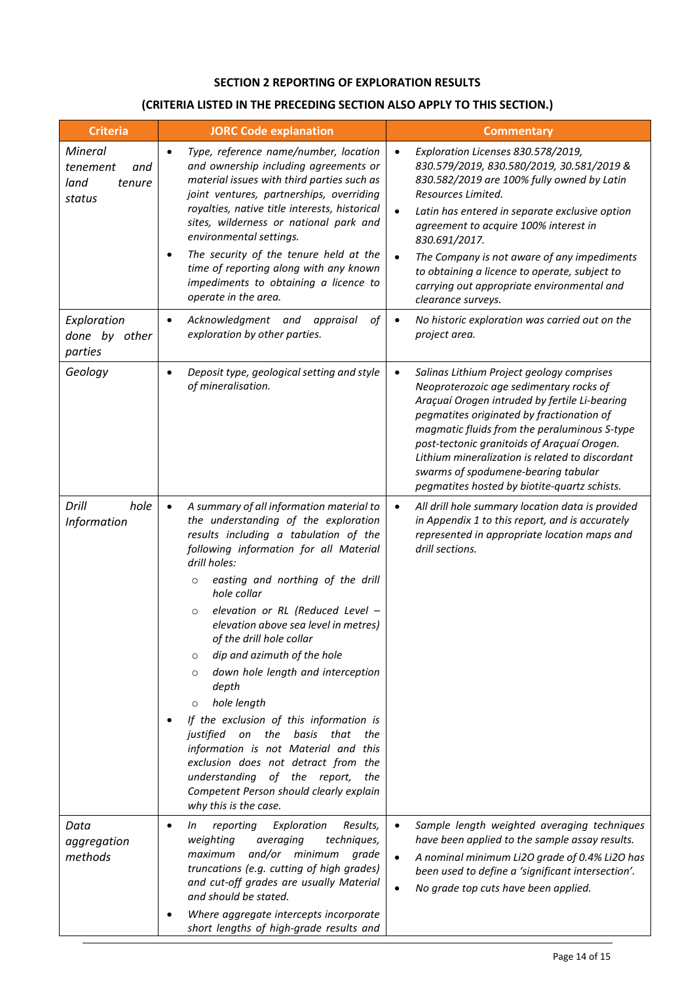## **SECTION 2 REPORTING OF EXPLORATION RESULTS**

# **(CRITERIA LISTED IN THE PRECEDING SECTION ALSO APPLY TO THIS SECTION.)**

| <b>Criteria</b>                                        | <b>JORC Code explanation</b>                                                                                                                                                                                                                                                                                                                                                                                                                                                                                                                                                                                                                                                                                                                                                            | <b>Commentary</b>                                                                                                                                                                                                                                                                                                                                                                                                                                                          |
|--------------------------------------------------------|-----------------------------------------------------------------------------------------------------------------------------------------------------------------------------------------------------------------------------------------------------------------------------------------------------------------------------------------------------------------------------------------------------------------------------------------------------------------------------------------------------------------------------------------------------------------------------------------------------------------------------------------------------------------------------------------------------------------------------------------------------------------------------------------|----------------------------------------------------------------------------------------------------------------------------------------------------------------------------------------------------------------------------------------------------------------------------------------------------------------------------------------------------------------------------------------------------------------------------------------------------------------------------|
| Mineral<br>tenement<br>and<br>land<br>tenure<br>status | Type, reference name/number, location<br>$\bullet$<br>and ownership including agreements or<br>material issues with third parties such as<br>joint ventures, partnerships, overriding<br>royalties, native title interests, historical<br>sites, wilderness or national park and<br>environmental settings.<br>The security of the tenure held at the<br>$\bullet$<br>time of reporting along with any known<br>impediments to obtaining a licence to<br>operate in the area.                                                                                                                                                                                                                                                                                                           | Exploration Licenses 830.578/2019,<br>$\bullet$<br>830.579/2019, 830.580/2019, 30.581/2019 &<br>830.582/2019 are 100% fully owned by Latin<br>Resources Limited.<br>$\bullet$<br>Latin has entered in separate exclusive option<br>agreement to acquire 100% interest in<br>830.691/2017.<br>The Company is not aware of any impediments<br>$\bullet$<br>to obtaining a licence to operate, subject to<br>carrying out appropriate environmental and<br>clearance surveys. |
| Exploration<br>done by other<br>parties                | Acknowledgment and<br>appraisal<br>οf<br>$\bullet$<br>exploration by other parties.                                                                                                                                                                                                                                                                                                                                                                                                                                                                                                                                                                                                                                                                                                     | No historic exploration was carried out on the<br>$\bullet$<br>project area.                                                                                                                                                                                                                                                                                                                                                                                               |
| Geology                                                | Deposit type, geological setting and style<br>$\bullet$<br>of mineralisation.                                                                                                                                                                                                                                                                                                                                                                                                                                                                                                                                                                                                                                                                                                           | Salinas Lithium Project geology comprises<br>$\bullet$<br>Neoproterozoic age sedimentary rocks of<br>Araçuaí Orogen intruded by fertile Li-bearing<br>pegmatites originated by fractionation of<br>magmatic fluids from the peraluminous S-type<br>post-tectonic granitoids of Araçuaí Orogen.<br>Lithium mineralization is related to discordant<br>swarms of spodumene-bearing tabular<br>pegmatites hosted by biotite-quartz schists.                                   |
| Drill<br>hole<br>Information                           | A summary of all information material to<br>$\bullet$<br>the understanding of the exploration<br>results including a tabulation of the<br>following information for all Material<br>drill holes:<br>easting and northing of the drill<br>$\circ$<br>hole collar<br>elevation or RL (Reduced Level -<br>O<br>elevation above sea level in metres)<br>of the drill hole collar<br>dip and azimuth of the hole<br>O<br>down hole length and interception<br>$\circ$<br>depth<br>hole length<br>$\circ$<br>If the exclusion of this information is<br>justified<br>on the<br>basis<br>that<br>the<br>information is not Material and this<br>exclusion does not detract from the<br>understanding of the report,<br>the<br>Competent Person should clearly explain<br>why this is the case. | All drill hole summary location data is provided<br>in Appendix 1 to this report, and is accurately<br>represented in appropriate location maps and<br>drill sections.                                                                                                                                                                                                                                                                                                     |
| Data<br>aggregation<br>methods                         | Exploration<br>Results,<br>reporting<br>In<br>$\bullet$<br>weighting<br>averaging<br>techniques,<br>and/or minimum<br>maximum<br>grade<br>truncations (e.g. cutting of high grades)<br>and cut-off grades are usually Material<br>and should be stated.<br>Where aggregate intercepts incorporate<br>short lengths of high-grade results and                                                                                                                                                                                                                                                                                                                                                                                                                                            | Sample length weighted averaging techniques<br>have been applied to the sample assay results.<br>A nominal minimum Li2O grade of 0.4% Li2O has<br>$\bullet$<br>been used to define a 'significant intersection'.<br>No grade top cuts have been applied.                                                                                                                                                                                                                   |